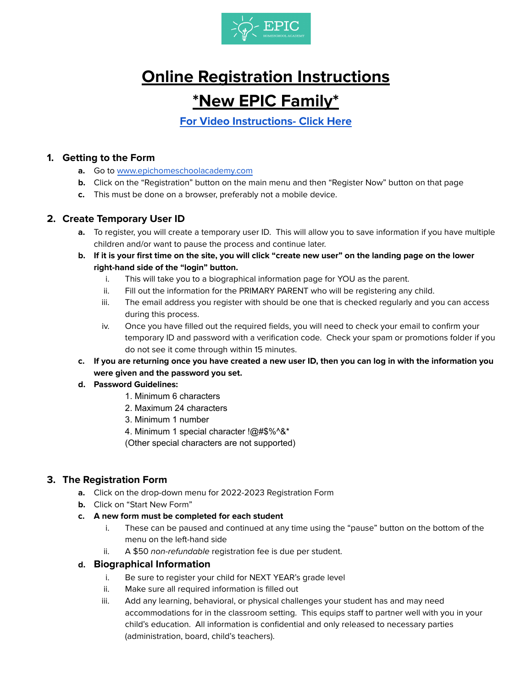

# **Online Registration Instructions \*New EPIC Family\***

**For Video [Instructions-](https://youtube.com/playlist?list=PL4UxyvnQXwekpP-YNT8ksDnJvOmmcKnno) Click Here**

# **1. Getting to the Form**

- **a.** Go to [www.epichomeschoolacademy.com](http://www.epichomeschoolacademy.com)
- **b.** Click on the "Registration" button on the main menu and then "Register Now" button on that page
- **c.** This must be done on a browser, preferably not a mobile device.

# **2. Create Temporary User ID**

- **a.** To register, you will create a temporary user ID. This will allow you to save information if you have multiple children and/or want to pause the process and continue later.
- b. If it is your first time on the site, you will click "create new user" on the landing page on the lower **right-hand side of the "login" button.**
	- i. This will take you to a biographical information page for YOU as the parent.
	- ii. Fill out the information for the PRIMARY PARENT who will be registering any child.
	- iii. The email address you register with should be one that is checked regularly and you can access during this process.
	- iv. Once you have filled out the required fields, you will need to check your email to confirm your temporary ID and password with a verification code. Check your spam or promotions folder if you do not see it come through within 15 minutes.
- c. If you are returning once you have created a new user ID, then you can log in with the information you **were given and the password you set.**

## **d. Password Guidelines:**

- 1. Minimum 6 characters
- 2. Maximum 24 characters
- 3. Minimum 1 number
- 4. Minimum 1 special character !@#\$%^&\*
- (Other special characters are not supported)

# **3. The Registration Form**

- **a.** Click on the drop-down menu for 2022-2023 Registration Form
- **b.** Click on "Start New Form"
- **c. A new form must be completed for each student**
	- i. These can be paused and continued at any time using the "pause" button on the bottom of the menu on the left-hand side
	- ii. A \$50 non-refundable registration fee is due per student.

## **d. Biographical Information**

- i. Be sure to register your child for NEXT YEAR's grade level
- ii. Make sure all required information is filled out
- iii. Add any learning, behavioral, or physical challenges your student has and may need accommodations for in the classroom setting. This equips staff to partner well with you in your child's education. All information is confidential and only released to necessary parties (administration, board, child's teachers).